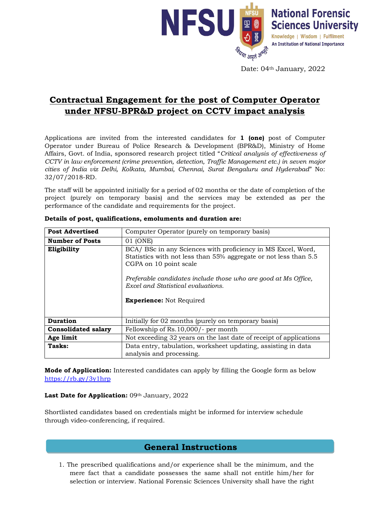

Date: 04<sup>th</sup> January, 2022

## **Contractual Engagement for the post of Computer Operator under NFSU-BPR&D project on CCTV impact analysis**

Applications are invited from the interested candidates for **1 (one)** post of Computer Operator under Bureau of Police Research & Development (BPR&D), Ministry of Home Affairs, Govt. of India, sponsored research project titled "*Critical analysis of effectiveness of CCTV in law enforcement (crime prevention, detection, Traffic Management etc.) in seven major cities of India viz Delhi, Kolkata, Mumbai, Chennai, Surat Bengaluru and Hyderabad*" No: 32/07/2018-RD.

The staff will be appointed initially for a period of 02 months or the date of completion of the project (purely on temporary basis) and the services may be extended as per the performance of the candidate and requirements for the project.

| <b>Post Advertised</b>     | Computer Operator (purely on temporary basis)                                                                                                                                                                                                                                                         |
|----------------------------|-------------------------------------------------------------------------------------------------------------------------------------------------------------------------------------------------------------------------------------------------------------------------------------------------------|
| <b>Number of Posts</b>     | 01 (ONE)                                                                                                                                                                                                                                                                                              |
| Eligibility                | BCA/ BSc in any Sciences with proficiency in MS Excel, Word,<br>Statistics with not less than 55% aggregate or not less than 5.5<br>CGPA on 10 point scale<br>Preferable candidates include those who are good at Ms Office,<br>Excel and Statistical evaluations.<br><b>Experience:</b> Not Required |
| <b>Duration</b>            | Initially for 02 months (purely on temporary basis)                                                                                                                                                                                                                                                   |
| <b>Consolidated salary</b> | Fellowship of Rs. 10,000/- per month                                                                                                                                                                                                                                                                  |
| Age limit                  | Not exceeding 32 years on the last date of receipt of applications                                                                                                                                                                                                                                    |
| Tasks:                     | Data entry, tabulation, worksheet updating, assisting in data<br>analysis and processing.                                                                                                                                                                                                             |

**Details of post, qualifications, emoluments and duration are:**

**Mode of Application:** Interested candidates can apply by filling the Google form as below <https://rb.gy/3y1hrp>

## Last Date for Application: 09th January, 2022

Shortlisted candidates based on credentials might be informed for interview schedule through video-conferencing, if required.

## **General Instructions**

1. The prescribed qualifications and/or experience shall be the minimum, and the mere fact that a candidate possesses the same shall not entitle him/her for selection or interview. National Forensic Sciences University shall have the right